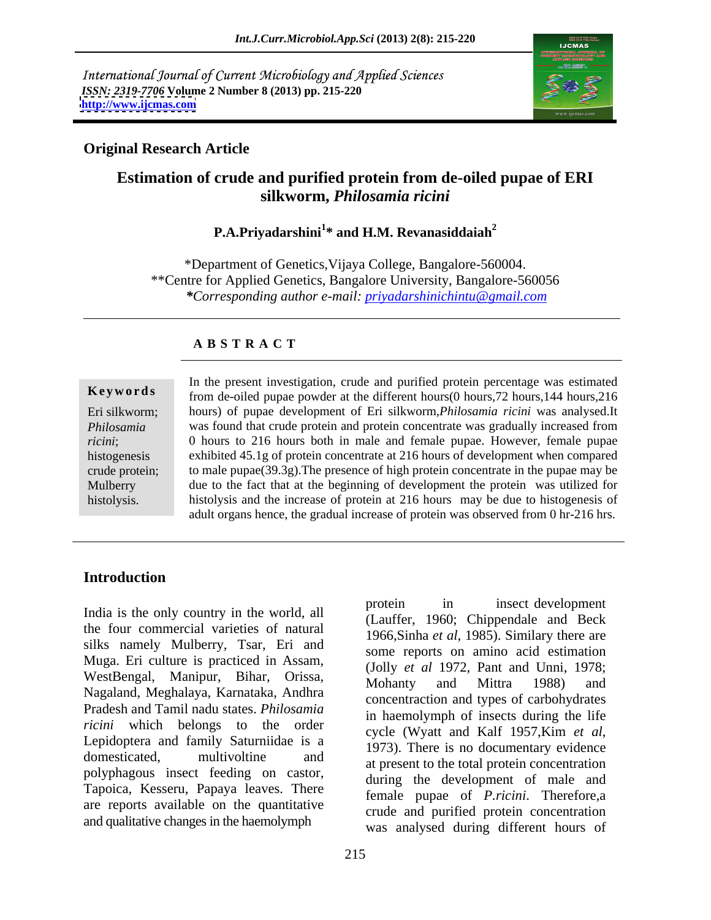International Journal of Current Microbiology and Applied Sciences *ISSN: 2319-7706* **Volume 2 Number 8 (2013) pp. 215-220 <http://www.ijcmas.com>**



# **Original Research Article**

# **Estimation of crude and purified protein from de-oiled pupae of ERI silkworm,** *Philosamia ricini*

# **P.A.Priyadarshini<sup>1</sup> \* and H.M. Revanasiddaiah<sup>2</sup>**

\*Department of Genetics,Vijaya College, Bangalore-560004. \*\*Centre for Applied Genetics, Bangalore University, Bangalore-560056 *\*Corresponding author e-mail: priyadarshinichintu@gmail.com*

### **A B S T R A C T**

**Keywords** from de-oiled pupae powder at the different hours(0 hours,72 hours,144 hours,216 Eri silkworm; hours) of pupae development of Eri silkworm,*Philosamia ricini* was analysed.It *Philosamia*  was found that crude protein and protein concentrate was gradually increased from *ricini*; 0 hours to 216 hours both in male and female pupae. However, female pupae histogenesis exhibited 45.1g of protein concentrate at 216 hours of development when compared crude protein; to male pupae(39.3g).The presence of high protein concentrate in the pupae may be Mulberry due to the fact that at the beginning of development the protein was utilized for **Keywords**<br>
In the present investigation, crude and purified protein percentage was estimated<br>
from de-oiled pupae powder at the different hours(0 hours, 72 hours, 144 hours, 216<br>
histogramia<br>
Philosamia<br>
was found that cr histolysis and the increase of protein at 216 hours may be due to histogenesis of adult organs hence, the gradual increase of protein was observed from 0 hr-216 hrs.

# **Introduction**

the four commercial varieties of natural silks namely Mulberry, Tsar, Eri and Muga. Eri culture is practiced in Assam, WestBengal, Manipur, Bihar, Orissa, Mohanty and Mittra 1988) and Nagaland, Meghalaya, Karnataka, Andhra Pradesh and Tamil nadu states. *Philosamia ricini* which belongs to the order Lepidoptera and family Saturniidae is a domesticated, multivoltine and at present to the total protein concentration polyphagous insect feeding on castor, Tapoica, Kesseru, Papaya leaves. There are reports available on the quantitative and qualitative changes in the haemolymph

India is the only country in the world, all protein in insect development protein in insect development (Lauffer, 1960; Chippendale and Beck 1966,Sinha *et al*, 1985). Similary there are some reports on amino acid estimation (Jolly *et al* 1972, Pant and Unni,1978; Mohanty and Mittra 1988) and concentraction and types of carbohydrates in haemolymph of insects during the life cycle (Wyatt and Kalf 1957,Kim *et al*, 1973). There is no documentary evidence during the development of male and female pupae of *P.ricini*. Therefore,a crude and purified protein concentration was analysed during different hours of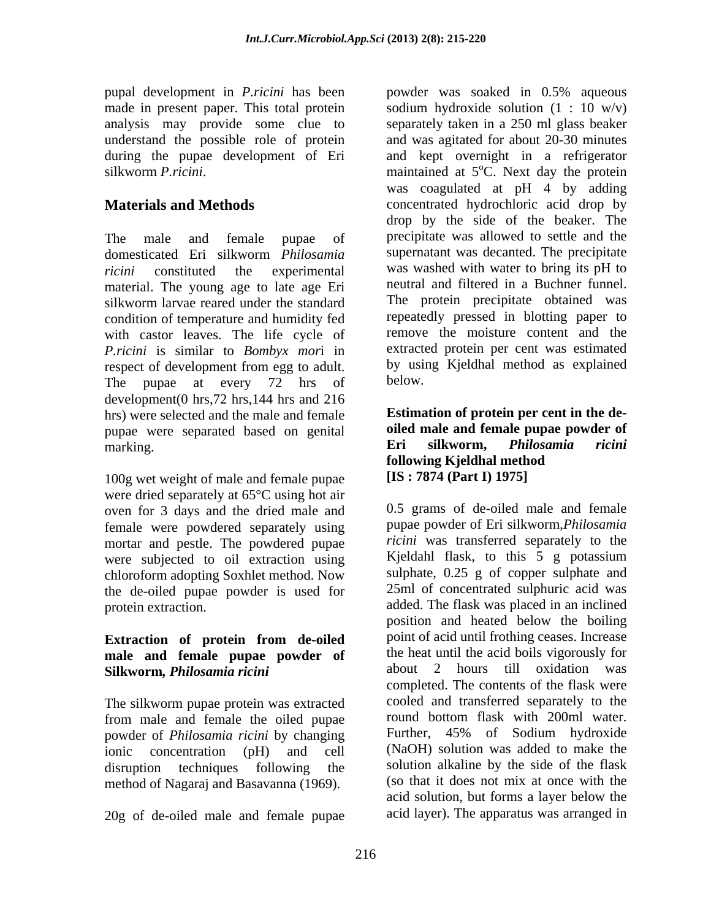pupal development in *P.ricini* has been made in present paper. This total protein

domesticated Eri silkworm *Philosamia*  material. The young age to late age Eri silkworm larvae reared under the standard condition of temperature and humidity fed with castor leaves. The life cycle of *P.ricini* is similar to *Bombyx mor*i in The pupae at every 72 hrs of below. development(0 hrs,72 hrs,144 hrs and 216 hrs) were selected and the male and female pupae were separated based on genital **oiled male and female pupae powder of**<br>**Eri** silkworm. *Philosamia ricini* marking. The summarking of the summarking. The summarking of the summarking of the summarking of the summarking  $\bm{F}$ 

100g wet weight of male and female pupae were dried separately at 65°C using hot air oven for 3 days and the dried male and female were powdered separately using mortar and pestle. The powdered pupae were subjected to oil extraction using chloroform adopting Soxhlet method. Now the de-oiled pupae powder is used for

# **male and female pupae powder of** the heat until the acid boils vigorously for<br> **Silkworm** *Philosamia ricini* about 2 hours till oxidation was **Silkworm***, Philosamia ricini*

The silkworm pupae protein was extracted cooled and transferred separately to the from male and female the oiled pupae cound bottom flask with 200ml water. from male and female the oiled pupae from the bottom flask with 200ml water.<br>
nowder of *Philosamia ricini* by changing Further, 45% of Sodium hydroxide powder of *Philosamia ricini* by changing method of Nagaraj and Basavanna (1969).

20g of de-oiled male and female pupae

analysis may provide some clue to separately taken in a 250 ml glass beaker understand the possible role of protein and was agitated for about 20-30 minutes during the pupae development of Eri and kept overnight in a refrigerator silkworm *P.ricini*. The maintained at 5<sup>o</sup>C. Next day the protein **Materials and Methods concentrated hydrochloric acid drop by** The male and female pupae of precipitate was allowed to settle and the *ricini* constituted the experimental was washed with water to bring its pH to respect of development from egg to adult. by using Kjeldhal method as explained powder was soaked in 0.5% aqueous sodium hydroxide solution  $(1 : 10 \text{ w/v})$ was coagulated at pH 4 by adding drop by the side of the beaker. The supernatant was decanted. The precipitate neutral and filtered in a Buchner funnel. The protein precipitate obtained was repeatedly pressed in blotting paper to remove the moisture content and the extracted protein per cent was estimated by using Kjeldhal method as explained below.

### **Estimation of protein per cent in the de oiled male and female pupae powder of Eri silkworm,** *Philosamia ricini* **following Kjeldhal method [IS : 7874 (Part I) 1975]**

protein extraction. added. The flask was placed in an inclined **Extraction of protein from de-oiled**  ionic concentration (pH) and cell (NaOH) solution was added to make the disruption techniques following the solution alkaline by the side of the flask 0.5 grams of de-oiled male and female pupae powder of Eri silkworm,*Philosamia ricini* was transferred separately to the Kjeldahl flask, to this 5 g potassium sulphate, 0.25 g of copper sulphate and 25ml of concentrated sulphuric acid was position and heated below the boiling point of acid until frothing ceases. Increase the heat until the acid boils vigorously for about 2 hours till oxidation was completed. The contents of the flask were cooled and transferred separately to the round bottom flask with 200ml water. Further, 45% of Sodium hydroxide (so that it does not mix at once with the acid solution, but forms a layer below the acid layer). The apparatus was arranged in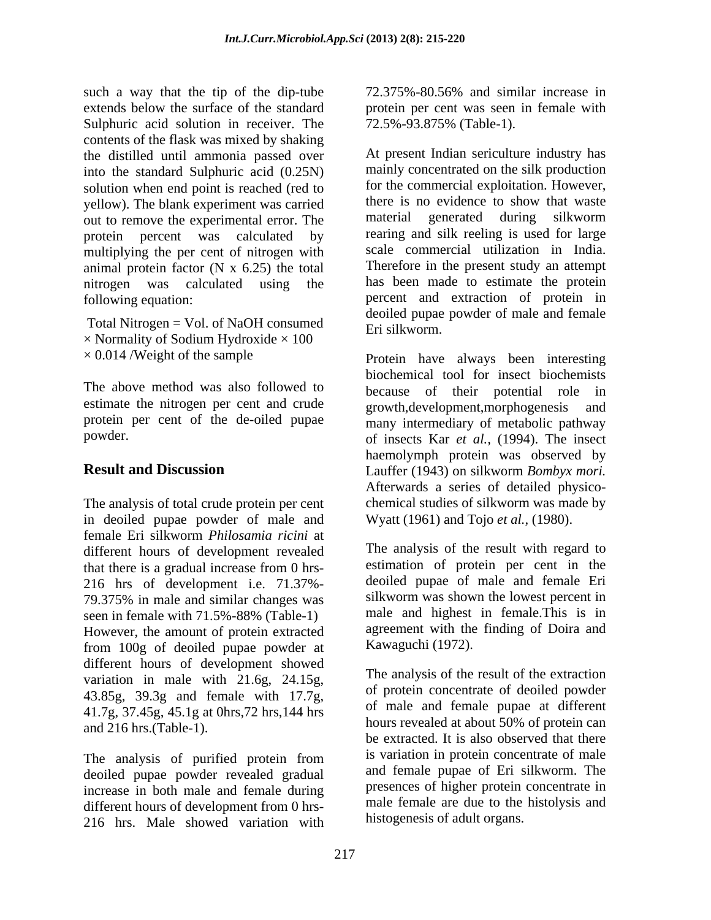such a way that the tip of the dip-tube 72.375%-80.56% and similar increase in extends below the surface of the standard protein per cent was seen in female with Sulphuric acid solution in receiver. The  $72.5\% - 93.875\%$  (Table-1). contents of the flask was mixed by shaking the distilled until ammonia passed over into the standard Sulphuric acid (0.25N) solution when end point is reached (red to for the commercial exploitation. However, vellow) The blank experiment was carried there is no evidence to show that waste yellow). The blank experiment was carried there is a new to remove the experimental error. The material out to remove the experimental error. The protein percent was calculated by multiplying the per cent of nitrogen with animal protein factor  $(N \times 6.25)$  the total nitrogen was calculated using the following equation: percent and extraction of protein in

Total Nitrogen = Vol. of NaOH consumed<br>Eri silkworm.  $\times$  Normality of Sodium Hydroxide  $\times$  100

estimate the nitrogen per cent and crude errowth.development.morphogenesis and protein per cent of the de-oiled pupae

The analysis of total crude protein per cent in deoiled pupae powder of male and female Eri silkworm *Philosamia ricini* at different hours of development revealed that there is a gradual increase from 0 hrs- 216 hrs of development i.e. 71.37%- 79.375% in male and similar changes was seen in female with 71.5%-88% (Table-1) However, the amount of protein extracted from 100g of deoiled pupae powder at different hours of development showed variation in male with 21.6g, 24.15g, 43.85g, 39.3g and female with 17.7g, 41.7g, 37.45g, 45.1g at 0hrs,72 hrs,144 hrs and 216 hrs.(Table-1).

The analysis of purified protein from deoiled pupae powder revealed gradual increase in both male and female during different hours of development from 0 hrs- 216 hrs. Male showed variation with

72.375%-80.56% and similar increase in 72.5%-93.875% (Table-1).

At present Indian sericulture industry has mainly concentrated on the silk production for the commercial exploitation. However, there is no evidence to show that waste generated during silkworm rearing and silk reeling is used for large scale commercial utilization in India. Therefore in the present study an attempt has been made to estimate the protein deoiled pupae powder of male and female Eri silkworm.

× 0.014 /Weight of the sample Protein have always been interesting The above method was also followed to because of their potential role in powder. of insects Kar *et al.,* (1994). The insect **Result and Discussion** Lauffer (1943) on silkworm *Bombyx mori.* biochemical tool for insect biochemists growth,development,morphogenesis many intermediary of metabolic pathway haemolymph protein was observed by Afterwards a series of detailed physico chemical studies of silkworm was made by Wyatt (1961) and Tojo *et al.,* (1980).

> The analysis of the result with regard to estimation of protein per cent in the deoiled pupae of male and female Eri silkworm was shown the lowest percent in male and highest in female.This is in agreement with the finding of Doira and Kawaguchi (1972).

> The analysis of the result of the extraction of protein concentrate of deoiled powder of male and female pupae at different hours revealed at about 50% of protein can be extracted. It is also observed that there is variation in protein concentrate of male and female pupae of Eri silkworm. The presences of higher protein concentrate in male female are due to the histolysis and histogenesis of adult organs.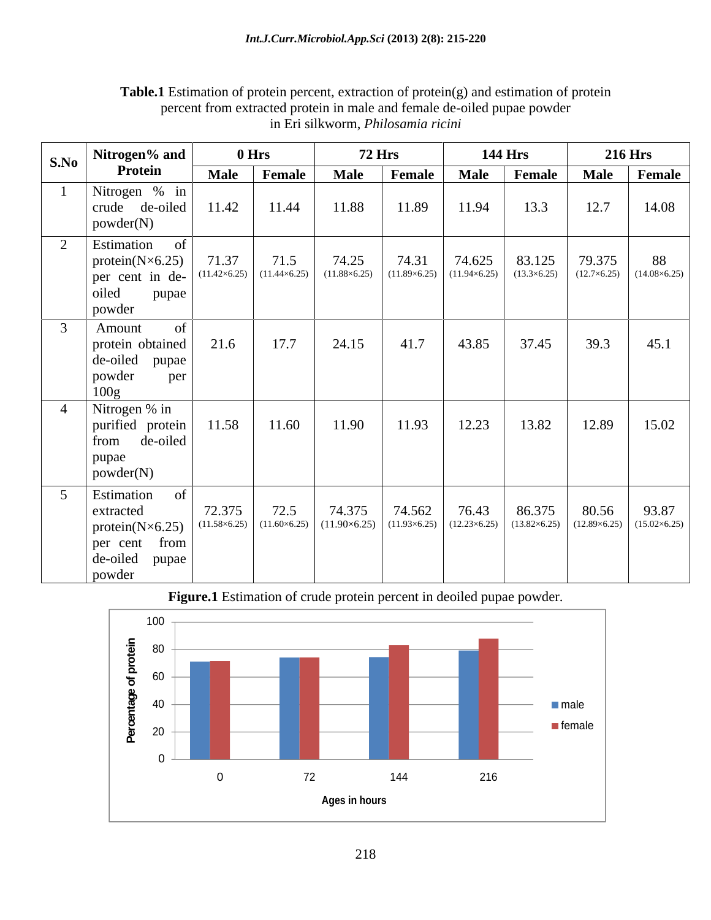|           | S.No   Nitrogen% and                                                                                   |             | 0 Hrs                                                                                       | <b>72 Hrs</b>                                                                                                                                        |                              | <b>144 Hrs</b>           |                          | <b>216 Hrs</b>                                   |                                                                                      |
|-----------|--------------------------------------------------------------------------------------------------------|-------------|---------------------------------------------------------------------------------------------|------------------------------------------------------------------------------------------------------------------------------------------------------|------------------------------|--------------------------|--------------------------|--------------------------------------------------|--------------------------------------------------------------------------------------|
|           | Protein                                                                                                | <b>Male</b> | Female                                                                                      | <b>Male</b>                                                                                                                                          | Female                       | <b>Male</b>              | Female                   |                                                  | Male Female                                                                          |
|           | Nitrogen % in<br>crude de-oiled<br>powder(N)                                                           | 11.42       | 11.44                                                                                       | 11.88                                                                                                                                                | 11.89                        | 11.94                    | 13.3                     | 12.7                                             | 14.08                                                                                |
| $\bigcap$ | Estimation<br>protein $(N\times 6.25)$<br>per cent in de-<br>oiled<br>pupae<br>powder                  |             | $71.37$ $71.5$ $11.42\times6.25$ $(11.44\times6.25)$                                        | $74.25$<br>(11.88×6.25)                                                                                                                              | 74.31<br>$(11.89\times6.25)$ | $74.625$<br>(11.94×6.25) | $83.125$<br>(13.3×6.25)  |                                                  | $\begin{array}{c c} 79.375 & 88 \\ (12.7\times6.25) & (14.08\times6.25) \end{array}$ |
|           | Amount<br>protein obtained<br>de-oiled<br>pupae<br>powder<br>per<br>$\frac{100g}{g}$                   | 21.6        | 17.7                                                                                        | 24.15                                                                                                                                                | 41.7                         | 43.85                    | 37.45                    | 39.3                                             | 45.1                                                                                 |
|           | Nitrogen % in<br>purified protein<br>de-oiled<br>from<br>pupae<br>powder(N)                            | 11.58       | 11.60                                                                                       | 11.90                                                                                                                                                | 11.93                        | 12.23                    | 13.82                    | 12.89                                            | 15.02                                                                                |
|           | Estimation<br>extracted<br>protein( $N\times6.25$ )<br>from<br>per cent<br>de-oiled<br>pupae<br>powder |             | $\begin{array}{c c} 72.375 & 72.5 \\ (11.58 \times 6.25) & (11.60 \times 6.25) \end{array}$ | $\begin{array}{ c c c c c c } \hline 74.375 & 74.562 & 76.43 \\ \hline (11.90\times6.25) & (11.93\times6.25) & (12.23\times6.25) \hline \end{array}$ |                              |                          | $86.375$<br>(13.82×6.25) | 80.56<br>$(12.89\times6.25)$ $(15.02\times6.25)$ | 93.87                                                                                |

**Table.1** Estimation of protein percent, extraction of protein(g) and estimation of protein percent from extracted protein in male and female de-oiled pupae powder in Eri silkworm, *Philosamia ricini*

**Figure.1** Estimation of crude protein percent in deoiled pupae powder.

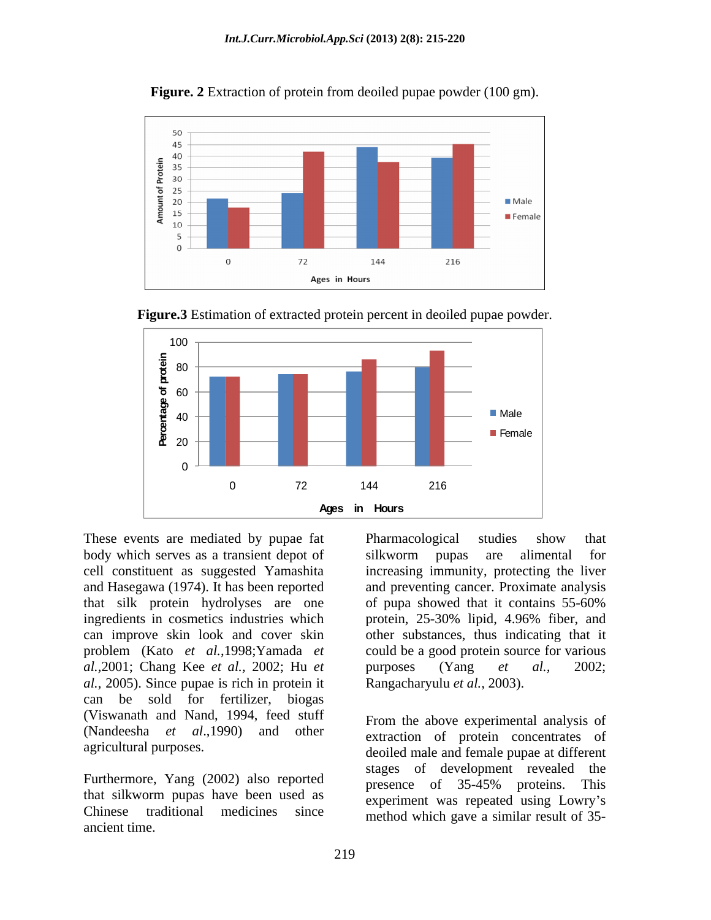

**Figure. 2** Extraction of protein from deoiled pupae powder (100 gm).



**Figure.3** Estimation of extracted protein percent in deoiled pupae powder.

These events are mediated by pupae fat Pharmacological studies show that body which serves as a transient depot of silkworm pupas are alimental for and Hasegawa (1974). It has been reported *al.,*2001; Chang Kee *et al.,* 2002; Hu *et al.,* 2005). Since pupae is rich in protein it can be sold for fertilizer, biogas (Viswanath and Nand, 1994, feed stuff (Nandeesha *et al*.,1990) and other extraction of protein concentrates of

Furthermore, Yang (2002) also reported<br>presence of 35-45% proteins. This that silkworm pupas have been used as Chinese traditional medicines since method which gave a similar result of 35ancient time.

cell constituent as suggested Yamashita increasing immunity, protecting the liver that silk protein hydrolyses are one of pupa showed that it contains 55-60% ingredients in cosmetics industries which protein, 25-30% lipid, 4.96% fiber, and can improve skin look and cover skin other substances, thus indicating that it problem (Kato *et al.*,1998;Yamada *et*  could be a good protein source for various Pharmacological studies show that silkworm pupas are alimental for and preventing cancer. Proximate analysis purposes (Yang *et al.,* 2002; Rangacharyulu *et al.,* 2003). method which gave <sup>a</sup> similar result of 35- <sup>0</sup>

agricultural purposes. deoiled male and female pupae at different From the above experimental analysis of stages of development revealed the presence of 35-45% proteins. This experiment was repeated using Lowry's